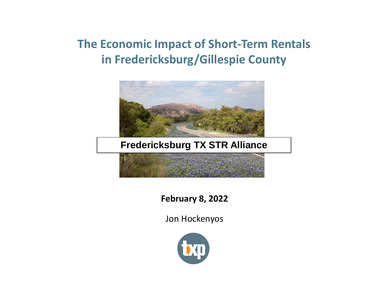

#### **Fredericksburg TX STR Alliance**

**February 8, 2022**

Jon Hockenyos

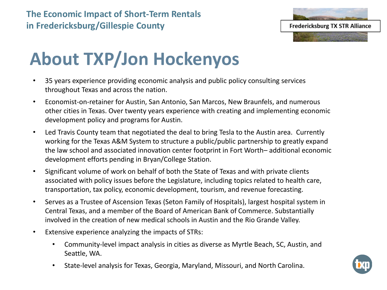

# **About TXP/Jon Hockenyos**

- 35 years experience providing economic analysis and public policy consulting services throughout Texas and across the nation.
- Economist-on-retainer for Austin, San Antonio, San Marcos, New Braunfels, and numerous other cities in Texas. Over twenty years experience with creating and implementing economic development policy and programs for Austin.
- Led Travis County team that negotiated the deal to bring Tesla to the Austin area. Currently working for the Texas A&M System to structure a public/public partnership to greatly expand the law school and associated innovation center footprint in Fort Worth– additional economic development efforts pending in Bryan/College Station.
- Significant volume of work on behalf of both the State of Texas and with private clients associated with policy issues before the Legislature, including topics related to health care, transportation, tax policy, economic development, tourism, and revenue forecasting.
- Serves as a Trustee of Ascension Texas (Seton Family of Hospitals), largest hospital system in Central Texas, and a member of the Board of American Bank of Commerce. Substantially involved in the creation of new medical schools in Austin and the Rio Grande Valley.
- Extensive experience analyzing the impacts of STRs:
	- Community-level impact analysis in cities as diverse as Myrtle Beach, SC, Austin, and Seattle, WA.
	- State-level analysis for Texas, Georgia, Maryland, Missouri, and North Carolina.

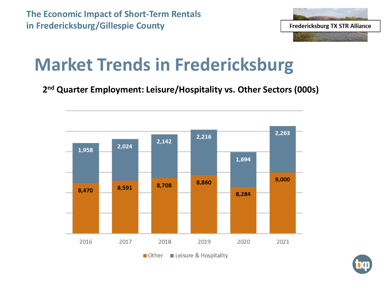

# **Market Trends in Fredericksburg**

**2 nd Quarter Employment: Leisure/Hospitality vs. Other Sectors (000s)**



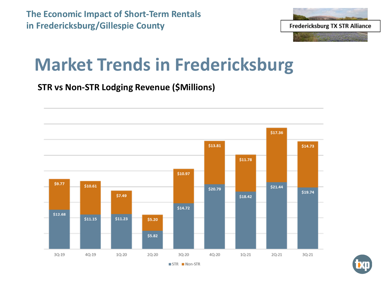

### **Market Trends in Fredericksburg**

#### **STR vs Non-STR Lodging Revenue (\$Millions)**



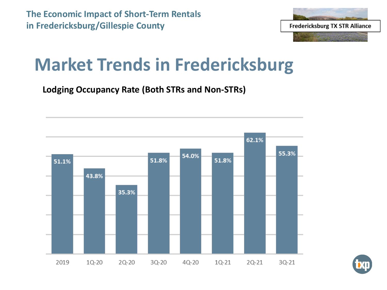

### **Market Trends in Fredericksburg**

**Lodging Occupancy Rate (Both STRs and Non-STRs)**



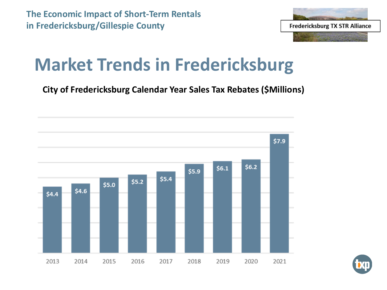

# **Market Trends in Fredericksburg**

**City of Fredericksburg Calendar Year Sales Tax Rebates (\$Millions)**



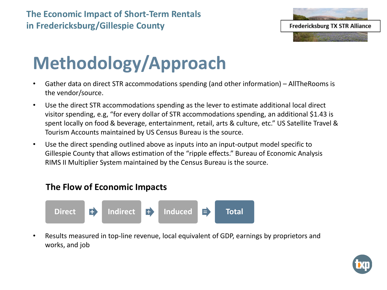

# **Methodology/Approach**

- Gather data on direct STR accommodations spending (and other information) AllTheRooms is the vendor/source.
- Use the direct STR accommodations spending as the lever to estimate additional local direct visitor spending, e.g, "for every dollar of STR accommodations spending, an additional \$1.43 is spent locally on food & beverage, entertainment, retail, arts & culture, etc." US Satellite Travel & Tourism Accounts maintained by US Census Bureau is the source.
- Use the direct spending outlined above as inputs into an input-output model specific to Gillespie County that allows estimation of the "ripple effects." Bureau of Economic Analysis RIMS II Multiplier System maintained by the Census Bureau is the source.

#### **The Flow of Economic Impacts**



• Results measured in top-line revenue, local equivalent of GDP, earnings by proprietors and works, and job

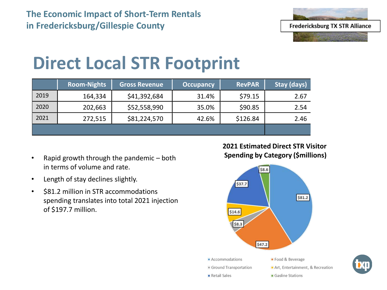

# **Direct Local STR Footprint**

|      | <b>Room-Nights</b> | <b>Gross Revenue</b> | <b>Occupancy</b> | <b>RevPAR</b> | Stay (days) |
|------|--------------------|----------------------|------------------|---------------|-------------|
| 2019 | 164,334            | \$41,392,684         | 31.4%            | \$79.15       | 2.67        |
| 2020 | 202,663            | \$52,558,990         | 35.0%            | \$90.85       | 2.54        |
| 2021 | 272,515            | \$81,224,570         | 42.6%            | \$126.84      | 2.46        |
|      |                    |                      |                  |               |             |

- Rapid growth through the pandemic both in terms of volume and rate.
- Length of stay declines slightly.
- \$81.2 million in STR accommodations spending translates into total 2021 injection of \$197.7 million.

**2021 Estimated Direct STR Visitor Spending by Category (\$millions)**



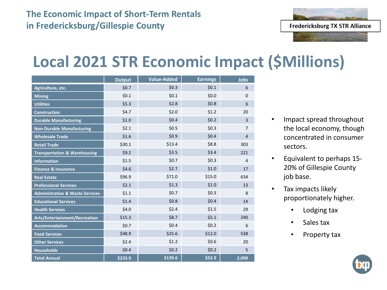

#### **Local 2021 STR Economic Impact (\$Millions)**

|                                            | <b>Output</b> | Value-Added | <b>Earnings</b> | <b>Jobs</b>    |
|--------------------------------------------|---------------|-------------|-----------------|----------------|
| Agriculture, etc.                          | \$0.7         | \$0.3       | \$0.1           | 6              |
| <b>Mining</b>                              | \$0.1         | \$0.1       | \$0.0\$         | $\mathbf 0$    |
| <b>Utilities</b>                           | \$5.3         | \$2.8       | \$0.8\$         | 6              |
| <b>Construction</b>                        | \$4.7         | \$2.0       | \$1.2           | 20             |
| <b>Durable Manufacturing</b>               | \$1.0         | \$0.4       | \$0.2\$         | 3              |
| <b>Non-Durable Manufacturing</b>           | \$2.1         | \$0.5       | \$0.3\$         | $\overline{7}$ |
| <b>Wholesale Trade</b>                     | \$1.6         | \$0.9       | \$0.4\$         | $\overline{4}$ |
| <b>Retail Trade</b>                        | \$30.1        | \$13.4      | \$8.8           | 303            |
| <b>Transportation &amp; Warehousing</b>    | \$9.2         | \$3.5       | \$3.4           | 221            |
| <b>Information</b>                         | \$1.5         | \$0.7       | \$0.3           | 4              |
| <b>Finance &amp; Insurance</b>             | \$4.6         | \$2.7       | \$1.0           | 17             |
| <b>Real Estate</b>                         | \$96.9        | \$71.0      | \$15.0          | 634            |
| <b>Professional Services</b>               | \$2.1         | \$1.3       | \$1.0           | 13             |
| <b>Administrative &amp; Waste Services</b> | \$1.1         | \$0.7       | \$0.3\$         | 8              |
| <b>Educational Services</b>                | \$1.4         | \$0.8       | \$0.4\$         | 14             |
| <b>Health Services</b>                     | \$4.0         | \$2.4       | \$1.5           | 29             |
| Arts/Entertainment/Recreation              | \$15.3        | \$8.7       | \$5.1           | 240            |
| <b>Accommodation</b>                       | \$0.7         | \$0.4       | \$0.2\$         | 6              |
| <b>Food Services</b>                       | \$48.9        | \$25.6      | \$12.0          | 538            |
| <b>Other Services</b>                      | \$2.4         | \$1.2       | \$0.6           | 20             |
| <b>Households</b>                          | \$0.4\$       | \$0.2       | \$0.2\$         | 5              |
| <b>Total Annual</b>                        | \$233.9       | \$139.6     | \$52.9          | 2,099          |

- Impact spread throughout the local economy, though concentrated in consumer sectors.
- Equivalent to perhaps 15- 20% of Gillespie County job base.
- Tax impacts likely proportionately higher.
	- Lodging tax
	- Sales tax
	- Property tax